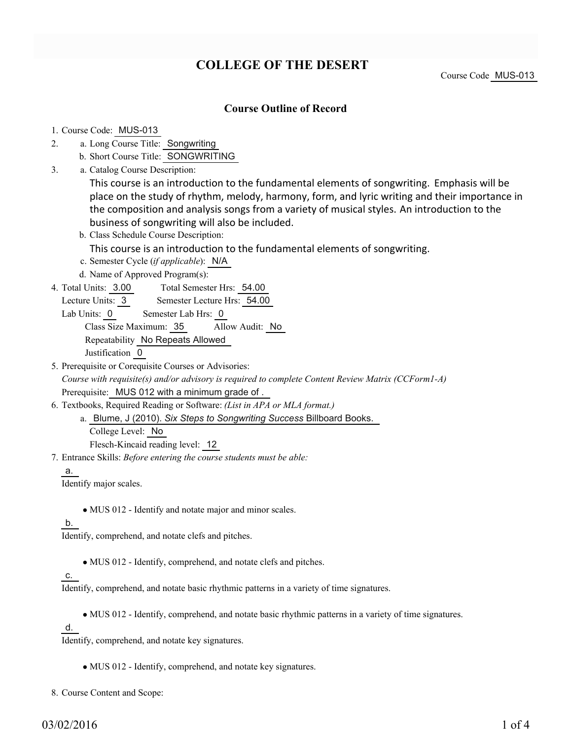# **COLLEGE OF THE DESERT**

Course Code MUS-013

### **Course Outline of Record**

#### 1. Course Code: MUS-013

- a. Long Course Title: Songwriting 2.
	- b. Short Course Title: SONGWRITING
- Catalog Course Description: a. 3.

This course is an introduction to the fundamental elements of songwriting. Emphasis will be place on the study of rhythm, melody, harmony, form, and lyric writing and their importance in the composition and analysis songs from a variety of musical styles. An introduction to the business of songwriting will also be included.

b. Class Schedule Course Description:

This course is an introduction to the fundamental elements of songwriting.

- c. Semester Cycle (*if applicable*): N/A
- d. Name of Approved Program(s):
- Total Semester Hrs: 54.00 4. Total Units: 3.00

Lecture Units: 3 Semester Lecture Hrs: 54.00

Lab Units: 0 Semester Lab Hrs: 0

Class Size Maximum: 35 Allow Audit: No

Repeatability No Repeats Allowed

Justification 0

- 5. Prerequisite or Corequisite Courses or Advisories: *Course with requisite(s) and/or advisory is required to complete Content Review Matrix (CCForm1-A)* Prerequisite: MUS 012 with a minimum grade of .
- Textbooks, Required Reading or Software: *(List in APA or MLA format.)* 6.
	- a. Blume, J (2010). Six Steps to Songwriting Success Billboard Books. College Level: No

Flesch-Kincaid reading level: 12

Entrance Skills: *Before entering the course students must be able:* 7.

#### a.

Identify major scales.

MUS 012 - Identify and notate major and minor scales.

### b.

Identify, comprehend, and notate clefs and pitches.

• MUS 012 - Identify, comprehend, and notate clefs and pitches.

### c.

Identify, comprehend, and notate basic rhythmic patterns in a variety of time signatures.

MUS 012 - Identify, comprehend, and notate basic rhythmic patterns in a variety of time signatures.

d.

Identify, comprehend, and notate key signatures.

MUS 012 - Identify, comprehend, and notate key signatures.

8. Course Content and Scope: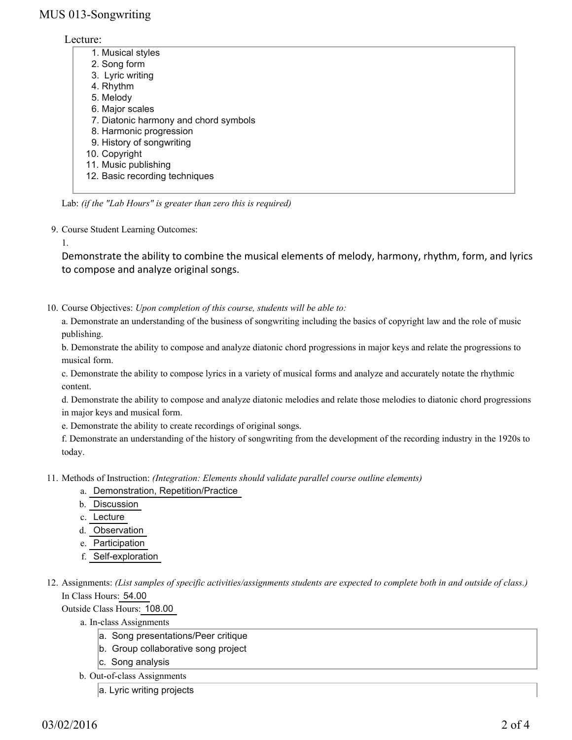## MUS 013-Songwriting

### Lecture:

| 1. Musical styles                     |
|---------------------------------------|
| 2. Song form                          |
| 3. Lyric writing                      |
| 4. Rhythm                             |
| 5. Melody                             |
| 6. Major scales                       |
| 7. Diatonic harmony and chord symbols |
| 8. Harmonic progression               |
| 9. History of songwriting             |
| 10. Copyright                         |
| 11. Music publishing                  |
| 12. Basic recording techniques        |
|                                       |

Lab: *(if the "Lab Hours" is greater than zero this is required)*

9. Course Student Learning Outcomes:

1.

Demonstrate the ability to combine the musical elements of melody, harmony, rhythm, form, and lyrics to compose and analyze original songs.

10. Course Objectives: Upon completion of this course, students will be able to:

a. Demonstrate an understanding of the business of songwriting including the basics of copyright law and the role of music publishing.

b. Demonstrate the ability to compose and analyze diatonic chord progressions in major keys and relate the progressions to musical form.

c. Demonstrate the ability to compose lyrics in a variety of musical forms and analyze and accurately notate the rhythmic content.

d. Demonstrate the ability to compose and analyze diatonic melodies and relate those melodies to diatonic chord progressions in major keys and musical form.

e. Demonstrate the ability to create recordings of original songs.

f. Demonstrate an understanding of the history of songwriting from the development of the recording industry in the 1920s to today.

Methods of Instruction: *(Integration: Elements should validate parallel course outline elements)* 11.

- a. Demonstration, Repetition/Practice
- b. Discussion
- c. Lecture
- d. Observation
- e. Participation
- f. Self-exploration

12. Assignments: (List samples of specific activities/assignments students are expected to complete both in and outside of class.) In Class Hours: 54.00

Outside Class Hours: 108.00

a. In-class Assignments

- a. Song presentations/Peer critique
- b. Group collaborative song project
- c. Song analysis
- b. Out-of-class Assignments
	- a. Lyric writing projects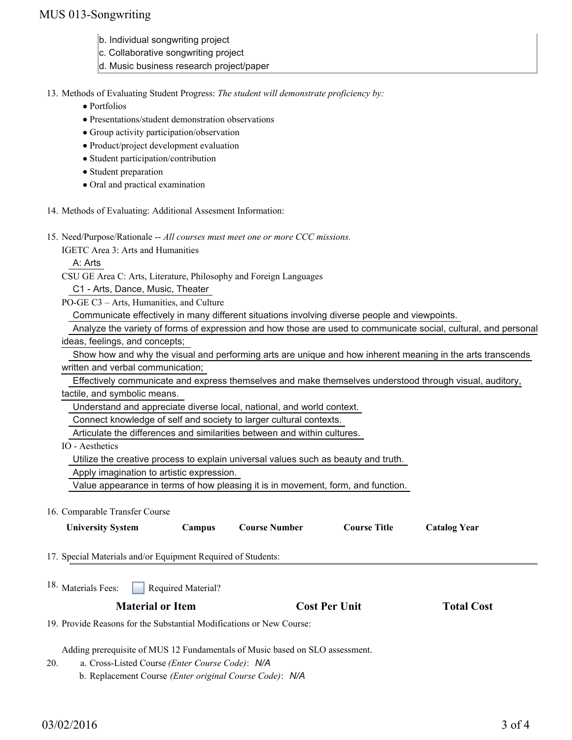## MUS 013-Songwriting

- b. Individual songwriting project
- c. Collaborative songwriting project
- d. Music business research project/paper

13. Methods of Evaluating Student Progress: The student will demonstrate proficiency by:

- Portfolios
- Presentations/student demonstration observations
- Group activity participation/observation
- Product/project development evaluation
- Student participation/contribution
- Student preparation
- Oral and practical examination
- 14. Methods of Evaluating: Additional Assesment Information:

15. Need/Purpose/Rationale -- All courses must meet one or more CCC missions.

IGETC Area 3: Arts and Humanities

A: Arts

CSU GE Area C: Arts, Literature, Philosophy and Foreign Languages

C1 - Arts, Dance, Music, Theater

PO-GE C3 – Arts, Humanities, and Culture

Communicate effectively in many different situations involving diverse people and viewpoints.

 Analyze the variety of forms of expression and how those are used to communicate social, cultural, and personal ideas, feelings, and concepts;

 Show how and why the visual and performing arts are unique and how inherent meaning in the arts transcends written and verbal communication;

 Effectively communicate and express themselves and make themselves understood through visual, auditory, tactile, and symbolic means.

Understand and appreciate diverse local, national, and world context.

Connect knowledge of self and society to larger cultural contexts.

Articulate the differences and similarities between and within cultures.

IO - Aesthetics

Utilize the creative process to explain universal values such as beauty and truth.

Apply imagination to artistic expression.

Value appearance in terms of how pleasing it is in movement, form, and function.

#### 16. Comparable Transfer Course

| <b>University System</b>                                             | Campus                    | <b>Course Number</b> | <b>Course Title</b>  | <b>Catalog Year</b> |  |
|----------------------------------------------------------------------|---------------------------|----------------------|----------------------|---------------------|--|
| 17. Special Materials and/or Equipment Required of Students:         |                           |                      |                      |                     |  |
| <sup>18.</sup> Materials Fees:                                       | <b>Required Material?</b> |                      |                      |                     |  |
| <b>Material or Item</b>                                              |                           |                      | <b>Cost Per Unit</b> | <b>Total Cost</b>   |  |
| 19. Provide Reasons for the Substantial Modifications or New Course: |                           |                      |                      |                     |  |

Adding prerequisite of MUS 12 Fundamentals of Music based on SLO assessment.

a. Cross-Listed Course *(Enter Course Code)*: *N/A* 20.

b. Replacement Course *(Enter original Course Code)*: *N/A*